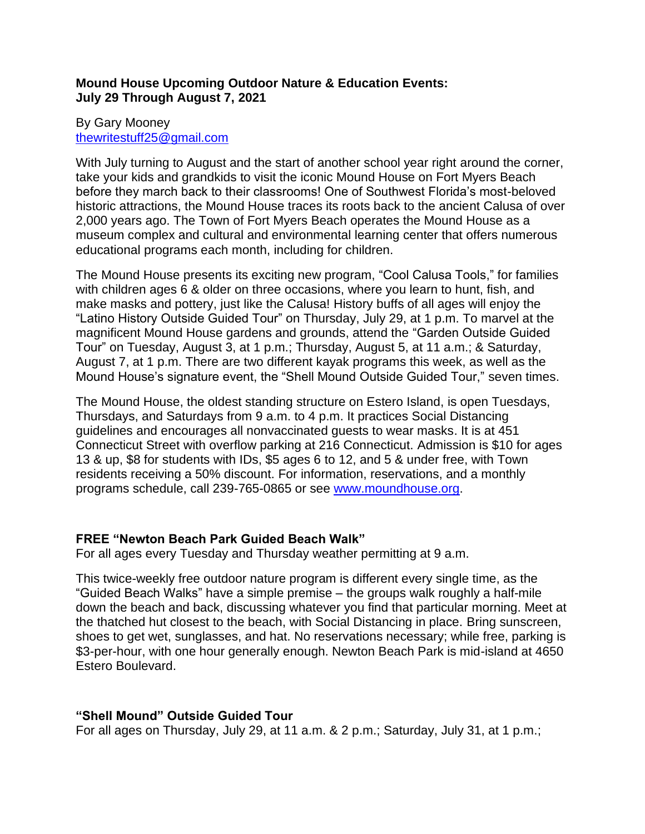## **Mound House Upcoming Outdoor Nature & Education Events: July 29 Through August 7, 2021**

### By Gary Mooney [thewritestuff25@gmail.com](mailto:thewritestuff25@gmail.com)

With July turning to August and the start of another school year right around the corner, take your kids and grandkids to visit the iconic Mound House on Fort Myers Beach before they march back to their classrooms! One of Southwest Florida's most-beloved historic attractions, the Mound House traces its roots back to the ancient Calusa of over 2,000 years ago. The Town of Fort Myers Beach operates the Mound House as a museum complex and cultural and environmental learning center that offers numerous educational programs each month, including for children.

The Mound House presents its exciting new program, "Cool Calusa Tools," for families with children ages 6 & older on three occasions, where you learn to hunt, fish, and make masks and pottery, just like the Calusa! History buffs of all ages will enjoy the "Latino History Outside Guided Tour" on Thursday, July 29, at 1 p.m. To marvel at the magnificent Mound House gardens and grounds, attend the "Garden Outside Guided Tour" on Tuesday, August 3, at 1 p.m.; Thursday, August 5, at 11 a.m.; & Saturday, August 7, at 1 p.m. There are two different kayak programs this week, as well as the Mound House's signature event, the "Shell Mound Outside Guided Tour," seven times.

The Mound House, the oldest standing structure on Estero Island, is open Tuesdays, Thursdays, and Saturdays from 9 a.m. to 4 p.m. It practices Social Distancing guidelines and encourages all nonvaccinated guests to wear masks. It is at 451 Connecticut Street with overflow parking at 216 Connecticut. Admission is \$10 for ages 13 & up, \$8 for students with IDs, \$5 ages 6 to 12, and 5 & under free, with Town residents receiving a 50% discount. For information, reservations, and a monthly programs schedule, call 239-765-0865 or see [www.moundhouse.org.](http://www.moundhouse.org/)

# **FREE "Newton Beach Park Guided Beach Walk"**

For all ages every Tuesday and Thursday weather permitting at 9 a.m.

This twice-weekly free outdoor nature program is different every single time, as the "Guided Beach Walks" have a simple premise – the groups walk roughly a half-mile down the beach and back, discussing whatever you find that particular morning. Meet at the thatched hut closest to the beach, with Social Distancing in place. Bring sunscreen, shoes to get wet, sunglasses, and hat. No reservations necessary; while free, parking is \$3-per-hour, with one hour generally enough. Newton Beach Park is mid-island at 4650 Estero Boulevard.

# **"Shell Mound" Outside Guided Tour**

For all ages on Thursday, July 29, at 11 a.m. & 2 p.m.; Saturday, July 31, at 1 p.m.;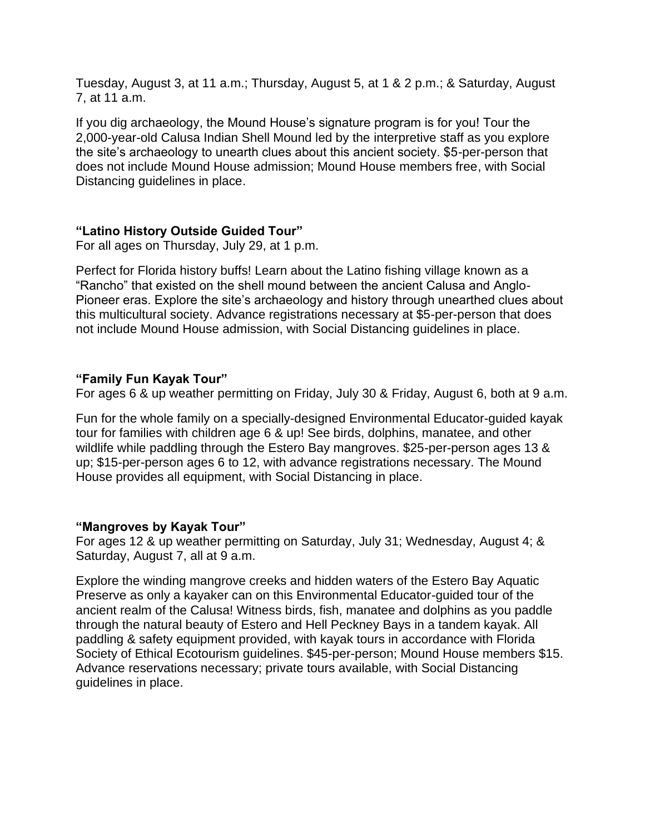Tuesday, August 3, at 11 a.m.; Thursday, August 5, at 1 & 2 p.m.; & Saturday, August 7, at 11 a.m.

If you dig archaeology, the Mound House's signature program is for you! Tour the 2,000-year-old Calusa Indian Shell Mound led by the interpretive staff as you explore the site's archaeology to unearth clues about this ancient society. \$5-per-person that does not include Mound House admission; Mound House members free, with Social Distancing guidelines in place.

# **"Latino History Outside Guided Tour"**

For all ages on Thursday, July 29, at 1 p.m.

Perfect for Florida history buffs! Learn about the Latino fishing village known as a "Rancho" that existed on the shell mound between the ancient Calusa and Anglo-Pioneer eras. Explore the site's archaeology and history through unearthed clues about this multicultural society. Advance registrations necessary at \$5-per-person that does not include Mound House admission, with Social Distancing guidelines in place.

## **"Family Fun Kayak Tour"**

For ages 6 & up weather permitting on Friday, July 30 & Friday, August 6, both at 9 a.m.

Fun for the whole family on a specially-designed Environmental Educator-guided kayak tour for families with children age 6 & up! See birds, dolphins, manatee, and other wildlife while paddling through the Estero Bay mangroves. \$25-per-person ages 13 & up; \$15-per-person ages 6 to 12, with advance registrations necessary. The Mound House provides all equipment, with Social Distancing in place.

### **"Mangroves by Kayak Tour"**

For ages 12 & up weather permitting on Saturday, July 31; Wednesday, August 4; & Saturday, August 7, all at 9 a.m.

Explore the winding mangrove creeks and hidden waters of the Estero Bay Aquatic Preserve as only a kayaker can on this Environmental Educator-guided tour of the ancient realm of the Calusa! Witness birds, fish, manatee and dolphins as you paddle through the natural beauty of Estero and Hell Peckney Bays in a tandem kayak. All paddling & safety equipment provided, with kayak tours in accordance with Florida Society of Ethical Ecotourism guidelines. \$45-per-person; Mound House members \$15. Advance reservations necessary; private tours available, with Social Distancing guidelines in place.